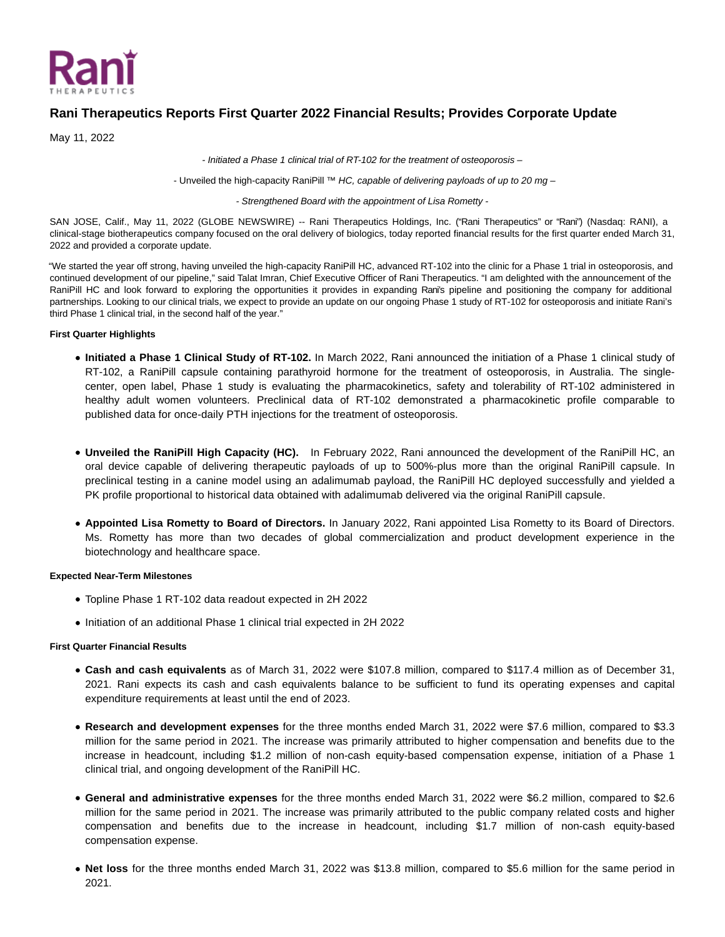

# **Rani Therapeutics Reports First Quarter 2022 Financial Results; Provides Corporate Update**

May 11, 2022

- Initiated a Phase 1 clinical trial of RT-102 for the treatment of osteoporosis –

- Unveiled the high-capacity RaniPill  $^{7M}$  HC, capable of delivering payloads of up to 20 mg –

- Strengthened Board with the appointment of Lisa Rometty -

SAN JOSE, Calif., May 11, 2022 (GLOBE NEWSWIRE) -- Rani Therapeutics Holdings, Inc. ("Rani Therapeutics" or "Rani") (Nasdaq: RANI), a clinical-stage biotherapeutics company focused on the oral delivery of biologics, today reported financial results for the first quarter ended March 31, 2022 and provided a corporate update.

"We started the year off strong, having unveiled the high-capacity RaniPill HC, advanced RT-102 into the clinic for a Phase 1 trial in osteoporosis, and continued development of our pipeline," said Talat Imran, Chief Executive Officer of Rani Therapeutics. "I am delighted with the announcement of the RaniPill HC and look forward to exploring the opportunities it provides in expanding Rani's pipeline and positioning the company for additional partnerships. Looking to our clinical trials, we expect to provide an update on our ongoing Phase 1 study of RT-102 for osteoporosis and initiate Rani's third Phase 1 clinical trial, in the second half of the year."

## **First Quarter Highlights**

- **Initiated a Phase 1 Clinical Study of RT-102.** In March 2022, Rani announced the initiation of a Phase 1 clinical study of RT-102, a RaniPill capsule containing parathyroid hormone for the treatment of osteoporosis, in Australia. The singlecenter, open label, Phase 1 study is evaluating the pharmacokinetics, safety and tolerability of RT-102 administered in healthy adult women volunteers. Preclinical data of RT-102 demonstrated a pharmacokinetic profile comparable to published data for once-daily PTH injections for the treatment of osteoporosis.
- **Unveiled the RaniPill High Capacity (HC).** In February 2022, Rani announced the development of the RaniPill HC, an oral device capable of delivering therapeutic payloads of up to 500%-plus more than the original RaniPill capsule. In preclinical testing in a canine model using an adalimumab payload, the RaniPill HC deployed successfully and yielded a PK profile proportional to historical data obtained with adalimumab delivered via the original RaniPill capsule.
- **Appointed Lisa Rometty to Board of Directors.** In January 2022, Rani appointed Lisa Rometty to its Board of Directors. Ms. Rometty has more than two decades of global commercialization and product development experience in the biotechnology and healthcare space.

## **Expected Near-Term Milestones**

- Topline Phase 1 RT-102 data readout expected in 2H 2022
- Initiation of an additional Phase 1 clinical trial expected in 2H 2022

# **First Quarter Financial Results**

- **Cash and cash equivalents** as of March 31, 2022 were \$107.8 million, compared to \$117.4 million as of December 31, 2021. Rani expects its cash and cash equivalents balance to be sufficient to fund its operating expenses and capital expenditure requirements at least until the end of 2023.
- **Research and development expenses** for the three months ended March 31, 2022 were \$7.6 million, compared to \$3.3 million for the same period in 2021. The increase was primarily attributed to higher compensation and benefits due to the increase in headcount, including \$1.2 million of non-cash equity-based compensation expense, initiation of a Phase 1 clinical trial, and ongoing development of the RaniPill HC.
- **General and administrative expenses** for the three months ended March 31, 2022 were \$6.2 million, compared to \$2.6 million for the same period in 2021. The increase was primarily attributed to the public company related costs and higher compensation and benefits due to the increase in headcount, including \$1.7 million of non-cash equity-based compensation expense.
- **Net loss** for the three months ended March 31, 2022 was \$13.8 million, compared to \$5.6 million for the same period in 2021.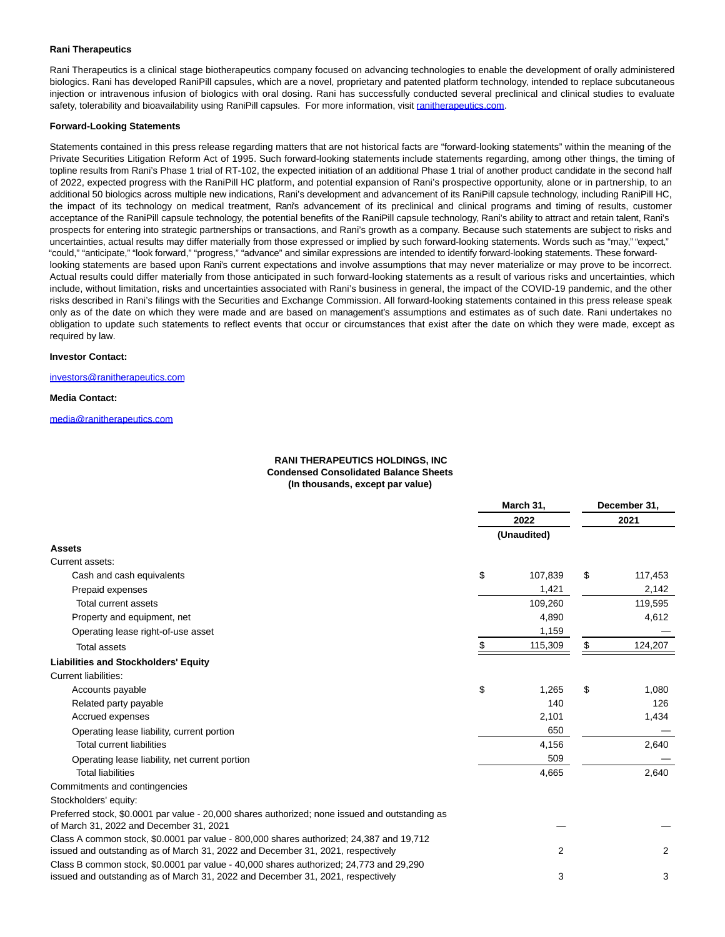## **Rani Therapeutics**

Rani Therapeutics is a clinical stage biotherapeutics company focused on advancing technologies to enable the development of orally administered biologics. Rani has developed RaniPill capsules, which are a novel, proprietary and patented platform technology, intended to replace subcutaneous injection or intravenous infusion of biologics with oral dosing. Rani has successfully conducted several preclinical and clinical studies to evaluate safety, tolerability and bioavailability using RaniPill capsules. For more information, visit [ranitherapeutics.com.](https://www.globenewswire.com/Tracker?data=gAg0pA1cW60godB-jhxJmFP1Kjism36rL5GZ1Elmzwn-TnBl_-BASxTQ0N1bGKYzrtWAtQlRxDQOPdO63b_ZD3AIvokasw1ouh20FMlowhE=)

#### **Forward-Looking Statements**

Statements contained in this press release regarding matters that are not historical facts are "forward-looking statements" within the meaning of the Private Securities Litigation Reform Act of 1995. Such forward-looking statements include statements regarding, among other things, the timing of topline results from Rani's Phase 1 trial of RT-102, the expected initiation of an additional Phase 1 trial of another product candidate in the second half of 2022, expected progress with the RaniPill HC platform, and potential expansion of Rani's prospective opportunity, alone or in partnership, to an additional 50 biologics across multiple new indications, Rani's development and advancement of its RaniPill capsule technology, including RaniPill HC, the impact of its technology on medical treatment, Rani's advancement of its preclinical and clinical programs and timing of results, customer acceptance of the RaniPill capsule technology, the potential benefits of the RaniPill capsule technology, Rani's ability to attract and retain talent, Rani's prospects for entering into strategic partnerships or transactions, and Rani's growth as a company. Because such statements are subject to risks and uncertainties, actual results may differ materially from those expressed or implied by such forward-looking statements. Words such as "may," "expect," "could," "anticipate," "look forward," "progress," "advance" and similar expressions are intended to identify forward-looking statements. These forwardlooking statements are based upon Rani's current expectations and involve assumptions that may never materialize or may prove to be incorrect. Actual results could differ materially from those anticipated in such forward-looking statements as a result of various risks and uncertainties, which include, without limitation, risks and uncertainties associated with Rani's business in general, the impact of the COVID-19 pandemic, and the other risks described in Rani's filings with the Securities and Exchange Commission. All forward-looking statements contained in this press release speak only as of the date on which they were made and are based on management's assumptions and estimates as of such date. Rani undertakes no obligation to update such statements to reflect events that occur or circumstances that exist after the date on which they were made, except as required by law.

## **Investor Contact:**

[investors@ranitherapeutics.com](https://www.globenewswire.com/Tracker?data=fOTKm2b3ixPdwjnAvMqT0F4GXe0Wo_kntHUINjF_fM1kaooS4rWDyh695QHn9aR2AH-ibcmfJlhhLtgz2YykeUqvQ1BQh5RHDEBCBkblBFBt2iBSZtLXPpn0hJ4Ft5Sr)

#### **Media Contact:**

[media@ranitherapeutics.com](https://www.globenewswire.com/Tracker?data=uhnmllbst6IZp-LwquCzmSP-PhnYJOwxtsbXIiJKykM0bXm9jM4K8TAlRtM8hC8JMuKKLmYeCl-_VbKAoZHZlWyyf9apRLezYwBrJcf1prfntX6lqSmbnGLF14-KXV6k)

## **RANI THERAPEUTICS HOLDINGS, INC Condensed Consolidated Balance Sheets (In thousands, except par value)**

|                                                                                                                                           | March 31, |                | December 31, |                |  |
|-------------------------------------------------------------------------------------------------------------------------------------------|-----------|----------------|--------------|----------------|--|
|                                                                                                                                           |           | 2022           |              | 2021           |  |
|                                                                                                                                           |           | (Unaudited)    |              |                |  |
| <b>Assets</b>                                                                                                                             |           |                |              |                |  |
| Current assets:                                                                                                                           |           |                |              |                |  |
| Cash and cash equivalents                                                                                                                 | \$        | 107,839        | \$           | 117,453        |  |
| Prepaid expenses                                                                                                                          |           | 1,421          |              | 2,142          |  |
| Total current assets                                                                                                                      |           | 109,260        |              | 119,595        |  |
| Property and equipment, net                                                                                                               |           | 4,890          |              | 4,612          |  |
| Operating lease right-of-use asset                                                                                                        |           | 1,159          |              |                |  |
| <b>Total assets</b>                                                                                                                       |           | 115,309        | \$           | 124,207        |  |
| <b>Liabilities and Stockholders' Equity</b>                                                                                               |           |                |              |                |  |
| <b>Current liabilities:</b>                                                                                                               |           |                |              |                |  |
| Accounts payable                                                                                                                          | \$        | 1,265          | \$           | 1,080          |  |
| Related party payable                                                                                                                     |           | 140            |              | 126            |  |
| Accrued expenses                                                                                                                          |           | 2,101          |              | 1,434          |  |
| Operating lease liability, current portion                                                                                                |           | 650            |              |                |  |
| <b>Total current liabilities</b>                                                                                                          |           | 4,156          |              | 2,640          |  |
| Operating lease liability, net current portion                                                                                            |           | 509            |              |                |  |
| <b>Total liabilities</b>                                                                                                                  |           | 4,665          |              | 2,640          |  |
| Commitments and contingencies                                                                                                             |           |                |              |                |  |
| Stockholders' equity:                                                                                                                     |           |                |              |                |  |
| Preferred stock, \$0.0001 par value - 20,000 shares authorized; none issued and outstanding as<br>of March 31, 2022 and December 31, 2021 |           |                |              |                |  |
| Class A common stock, \$0.0001 par value - 800,000 shares authorized; 24,387 and 19,712                                                   |           |                |              |                |  |
| issued and outstanding as of March 31, 2022 and December 31, 2021, respectively                                                           |           | $\overline{2}$ |              | $\overline{2}$ |  |
| Class B common stock, \$0.0001 par value - 40,000 shares authorized; 24,773 and 29,290                                                    |           |                |              |                |  |
| issued and outstanding as of March 31, 2022 and December 31, 2021, respectively                                                           |           | 3              |              | 3              |  |